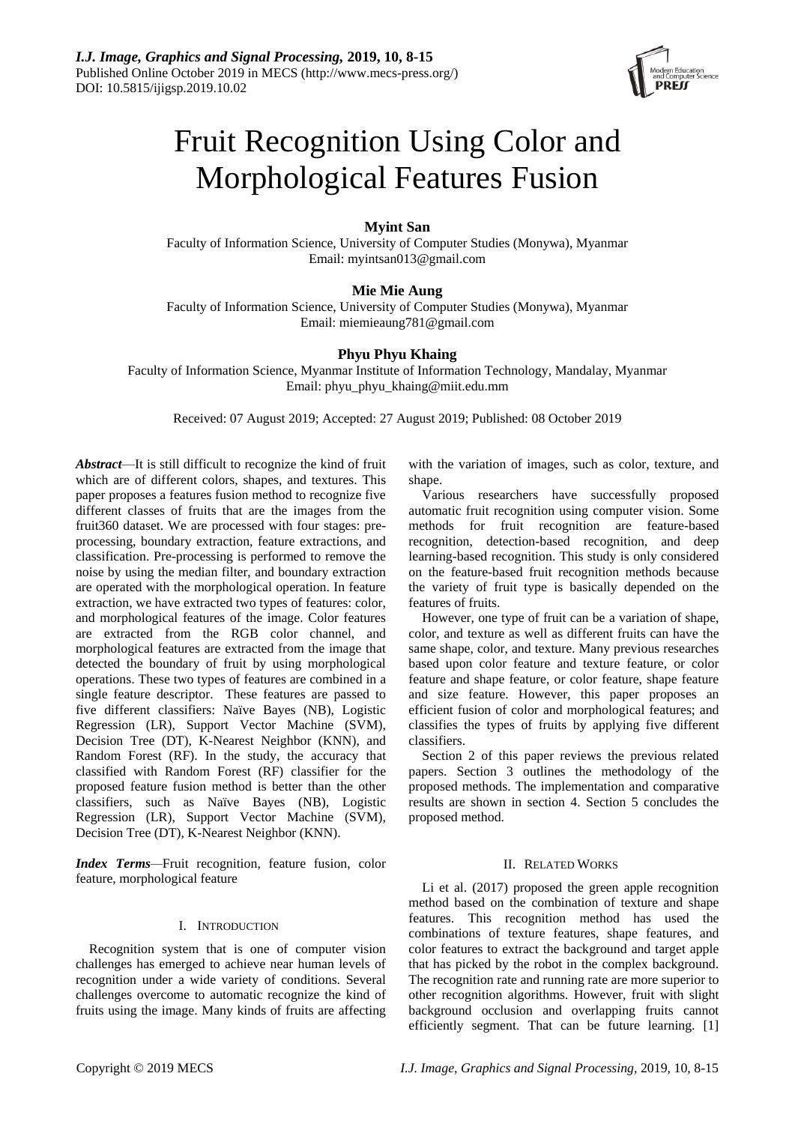

# Fruit Recognition Using Color and Morphological Features Fusion

# **Myint San**

Faculty of Information Science, University of Computer Studies (Monywa), Myanmar Email: [myintsan013@gmail.com](mailto:myintsan013@gmail.com)

# **Mie Mie Aung**

Faculty of Information Science, University of Computer Studies (Monywa), Myanmar Email: [miemieaung781@gmail.com](mailto:miemieaung781@gmail.com)

# **Phyu Phyu Khaing**

Faculty of Information Science, Myanmar Institute of Information Technology, Mandalay, Myanmar Email: [phyu\\_phyu\\_khaing@miit.edu.mm](mailto:phyu_phyu_khaing@miit.edu.mm)

Received: 07 August 2019; Accepted: 27 August 2019; Published: 08 October 2019

*Abstract*—It is still difficult to recognize the kind of fruit which are of different colors, shapes, and textures. This paper proposes a features fusion method to recognize five different classes of fruits that are the images from the fruit360 dataset. We are processed with four stages: preprocessing, boundary extraction, feature extractions, and classification. Pre-processing is performed to remove the noise by using the median filter, and boundary extraction are operated with the morphological operation. In feature extraction, we have extracted two types of features: color, and morphological features of the image. Color features are extracted from the RGB color channel, and morphological features are extracted from the image that detected the boundary of fruit by using morphological operations. These two types of features are combined in a single feature descriptor. These features are passed to five different classifiers: Naïve Bayes (NB), Logistic Regression (LR), Support Vector Machine (SVM), Decision Tree (DT), K-Nearest Neighbor (KNN), and Random Forest (RF). In the study, the accuracy that classified with Random Forest (RF) classifier for the proposed feature fusion method is better than the other classifiers, such as Naïve Bayes (NB), Logistic Regression (LR), Support Vector Machine (SVM), Decision Tree (DT), K-Nearest Neighbor (KNN).

*Index Terms—*Fruit recognition, feature fusion, color feature, morphological feature

## I. INTRODUCTION

Recognition system that is one of computer vision challenges has emerged to achieve near human levels of recognition under a wide variety of conditions. Several challenges overcome to automatic recognize the kind of fruits using the image. Many kinds of fruits are affecting

with the variation of images, such as color, texture, and shape.

Various researchers have successfully proposed automatic fruit recognition using computer vision. Some methods for fruit recognition are feature-based recognition, detection-based recognition, and deep learning-based recognition. This study is only considered on the feature-based fruit recognition methods because the variety of fruit type is basically depended on the features of fruits.

However, one type of fruit can be a variation of shape, color, and texture as well as different fruits can have the same shape, color, and texture. Many previous researches based upon color feature and texture feature, or color feature and shape feature, or color feature, shape feature and size feature. However, this paper proposes an efficient fusion of color and morphological features; and classifies the types of fruits by applying five different classifiers.

Section 2 of this paper reviews the previous related papers. Section 3 outlines the methodology of the proposed methods. The implementation and comparative results are shown in section 4. Section 5 concludes the proposed method.

# II. RELATED WORKS

Li et al. (2017) proposed the green apple recognition method based on the combination of texture and shape features. This recognition method has used the combinations of texture features, shape features, and color features to extract the background and target apple that has picked by the robot in the complex background. The recognition rate and running rate are more superior to other recognition algorithms. However, fruit with slight background occlusion and overlapping fruits cannot efficiently segment. That can be future learning. [1]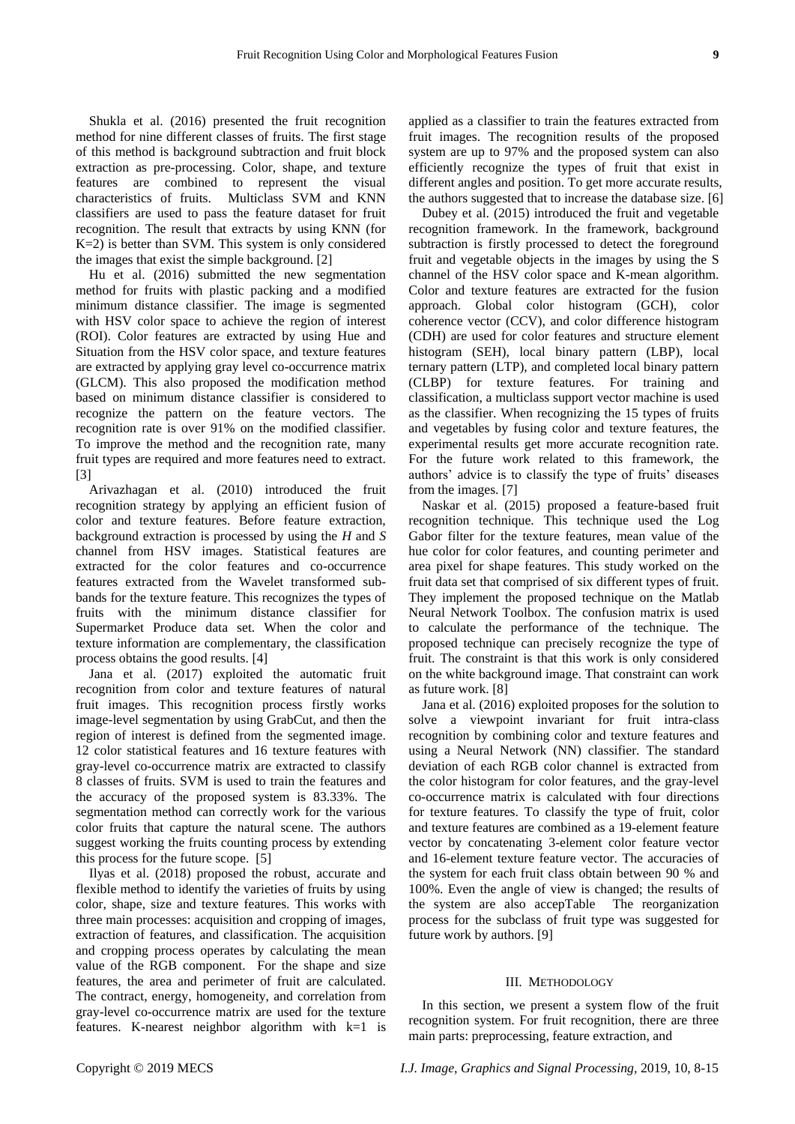Shukla et al. (2016) presented the fruit recognition method for nine different classes of fruits. The first stage of this method is background subtraction and fruit block extraction as pre-processing. Color, shape, and texture features are combined to represent the visual characteristics of fruits. Multiclass SVM and KNN classifiers are used to pass the feature dataset for fruit recognition. The result that extracts by using KNN (for K=2) is better than SVM. This system is only considered the images that exist the simple background. [2]

Hu et al. (2016) submitted the new segmentation method for fruits with plastic packing and a modified minimum distance classifier. The image is segmented with HSV color space to achieve the region of interest (ROI). Color features are extracted by using Hue and Situation from the HSV color space, and texture features are extracted by applying gray level co-occurrence matrix (GLCM). This also proposed the modification method based on minimum distance classifier is considered to recognize the pattern on the feature vectors. The recognition rate is over 91% on the modified classifier. To improve the method and the recognition rate, many fruit types are required and more features need to extract. [3]

Arivazhagan et al. (2010) introduced the fruit recognition strategy by applying an efficient fusion of color and texture features. Before feature extraction, background extraction is processed by using the *H* and *S*  channel from HSV images. Statistical features are extracted for the color features and co-occurrence features extracted from the Wavelet transformed subbands for the texture feature. This recognizes the types of fruits with the minimum distance classifier for Supermarket Produce data set. When the color and texture information are complementary, the classification process obtains the good results. [4]

Jana et al. (2017) exploited the automatic fruit recognition from color and texture features of natural fruit images. This recognition process firstly works image-level segmentation by using GrabCut, and then the region of interest is defined from the segmented image. 12 color statistical features and 16 texture features with gray-level co-occurrence matrix are extracted to classify 8 classes of fruits. SVM is used to train the features and the accuracy of the proposed system is 83.33%. The segmentation method can correctly work for the various color fruits that capture the natural scene. The authors suggest working the fruits counting process by extending this process for the future scope. [5]

Ilyas et al. (2018) proposed the robust, accurate and flexible method to identify the varieties of fruits by using color, shape, size and texture features. This works with three main processes: acquisition and cropping of images, extraction of features, and classification. The acquisition and cropping process operates by calculating the mean value of the RGB component. For the shape and size features, the area and perimeter of fruit are calculated. The contract, energy, homogeneity, and correlation from gray-level co-occurrence matrix are used for the texture features. K-nearest neighbor algorithm with k=1 is

applied as a classifier to train the features extracted from fruit images. The recognition results of the proposed system are up to 97% and the proposed system can also efficiently recognize the types of fruit that exist in different angles and position. To get more accurate results, the authors suggested that to increase the database size. [6]

Dubey et al. (2015) introduced the fruit and vegetable recognition framework. In the framework, background subtraction is firstly processed to detect the foreground fruit and vegetable objects in the images by using the S channel of the HSV color space and K-mean algorithm. Color and texture features are extracted for the fusion approach. Global color histogram (GCH), color coherence vector (CCV), and color difference histogram (CDH) are used for color features and structure element histogram (SEH), local binary pattern (LBP), local ternary pattern (LTP), and completed local binary pattern (CLBP) for texture features. For training and classification, a multiclass support vector machine is used as the classifier. When recognizing the 15 types of fruits and vegetables by fusing color and texture features, the experimental results get more accurate recognition rate. For the future work related to this framework, the authors' advice is to classify the type of fruits' diseases from the images. [7]

Naskar et al. (2015) proposed a feature-based fruit recognition technique. This technique used the Log Gabor filter for the texture features, mean value of the hue color for color features, and counting perimeter and area pixel for shape features. This study worked on the fruit data set that comprised of six different types of fruit. They implement the proposed technique on the Matlab Neural Network Toolbox. The confusion matrix is used to calculate the performance of the technique. The proposed technique can precisely recognize the type of fruit. The constraint is that this work is only considered on the white background image. That constraint can work as future work. [8]

Jana et al. (2016) exploited proposes for the solution to solve a viewpoint invariant for fruit intra-class recognition by combining color and texture features and using a Neural Network (NN) classifier. The standard deviation of each RGB color channel is extracted from the color histogram for color features, and the gray-level co-occurrence matrix is calculated with four directions for texture features. To classify the type of fruit, color and texture features are combined as a 19-element feature vector by concatenating 3-element color feature vector and 16-element texture feature vector. The accuracies of the system for each fruit class obtain between 90 % and 100%. Even the angle of view is changed; the results of the system are also accepTable The reorganization process for the subclass of fruit type was suggested for future work by authors. [9]

## III. METHODOLOGY

In this section, we present a system flow of the fruit recognition system. For fruit recognition, there are three main parts: preprocessing, feature extraction, and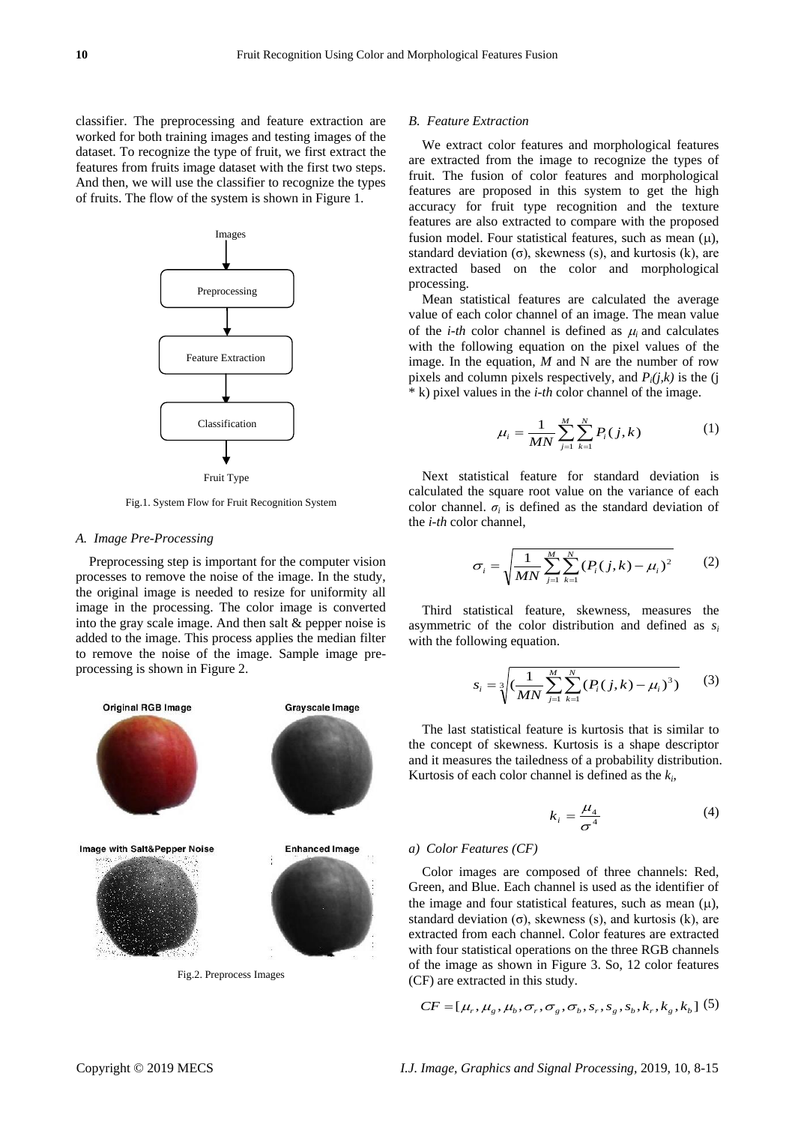classifier. The preprocessing and feature extraction are worked for both training images and testing images of the dataset. To recognize the type of fruit, we first extract the features from fruits image dataset with the first two steps. And then, we will use the classifier to recognize the types of fruits. The flow of the system is shown in Figure 1.



Fruit Type

Fig.1. System Flow for Fruit Recognition System

## *A. Image Pre-Processing*

Preprocessing step is important for the computer vision processes to remove the noise of the image. In the study, the original image is needed to resize for uniformity all image in the processing. The color image is converted into the gray scale image. And then salt & pepper noise is added to the image. This process applies the median filter to remove the noise of the image. Sample image preprocessing is shown in Figure 2.



Fig.2. Preprocess Images

## *B. Feature Extraction*

We extract color features and morphological features are extracted from the image to recognize the types of fruit. The fusion of color features and morphological features are proposed in this system to get the high accuracy for fruit type recognition and the texture features are also extracted to compare with the proposed fusion model. Four statistical features, such as mean  $(\mu)$ , standard deviation  $(\sigma)$ , skewness (s), and kurtosis (k), are extracted based on the color and morphological processing.

Mean statistical features are calculated the average value of each color channel of an image. The mean value of the *i-th* color channel is defined as  $\mu_i$  and calculates with the following equation on the pixel values of the image. In the equation, *M* and N are the number of row pixels and column pixels respectively, and  $P_i(j,k)$  is the (j \* k) pixel values in the *i-th* color channel of the image.

$$
\mu_i = \frac{1}{MN} \sum_{j=1}^{M} \sum_{k=1}^{N} P_i(j, k) \tag{1}
$$

Next statistical feature for standard deviation is calculated the square root value on the variance of each color channel.  $\sigma_i$  is defined as the standard deviation of the *i-th* color channel,

$$
\sigma_i = \sqrt{\frac{1}{MN} \sum_{j=1}^{M} \sum_{k=1}^{N} (P_i(j,k) - \mu_i)^2}
$$
 (2)

Third statistical feature, skewness, measures the asymmetric of the color distribution and defined as *s<sup>i</sup>* with the following equation.

$$
s_i = \sqrt[3]{\left(\frac{1}{MN}\sum_{j=1}^{M}\sum_{k=1}^{N}\left(P_i(j,k) - \mu_i\right)^3\right)}
$$
(3)

The last statistical feature is kurtosis that is similar to the concept of skewness. Kurtosis is a shape descriptor and it measures the tailedness of a probability distribution. Kurtosis of each color channel is defined as the *k<sup>i</sup>* ,

$$
k_i = \frac{\mu_4}{\sigma^4} \tag{4}
$$

## *a) Color Features (CF)*

Color images are composed of three channels: Red, Green, and Blue. Each channel is used as the identifier of the image and four statistical features, such as mean  $(u)$ , standard deviation  $(\sigma)$ , skewness (s), and kurtosis (k), are extracted from each channel. Color features are extracted with four statistical operations on the three RGB channels of the image as shown in Figure 3. So, 12 color features (CF) are extracted in this study.

$$
CF = [\mu_{r}, \mu_{g}, \mu_{b}, \sigma_{r}, \sigma_{g}, \sigma_{b}, s_{r}, s_{g}, s_{b}, k_{r}, k_{g}, k_{b}]
$$
 (5)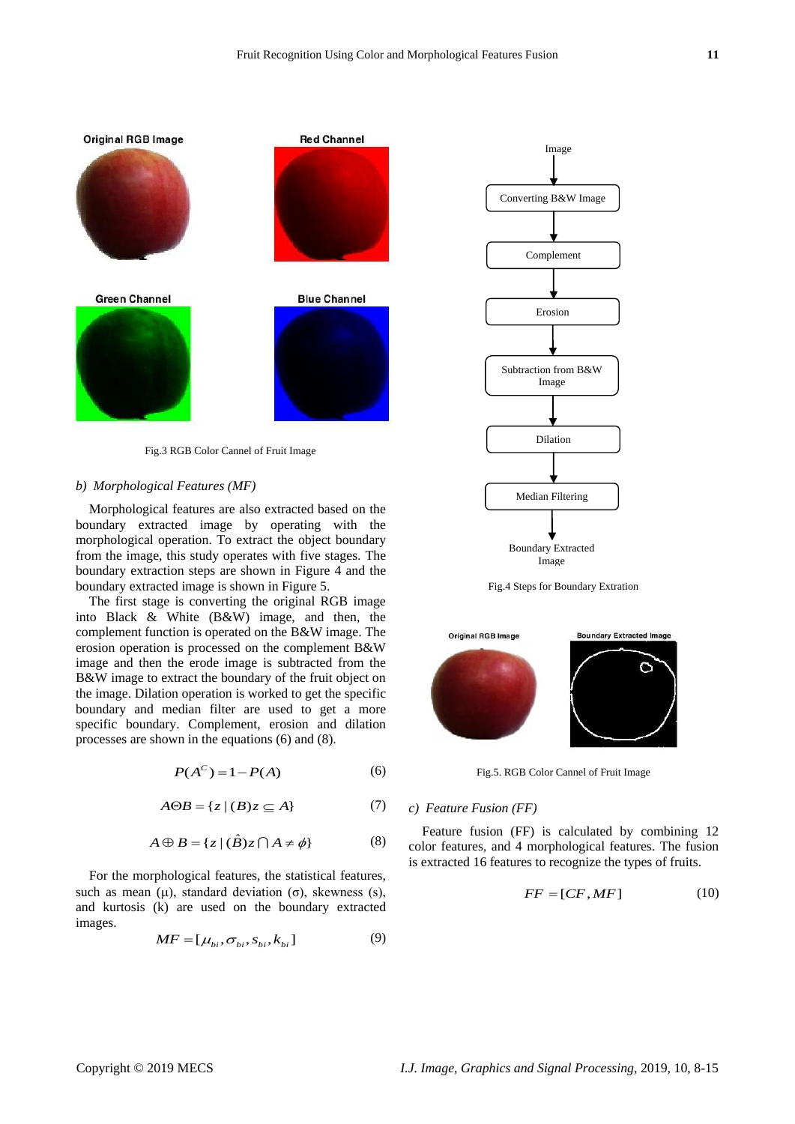

Fig.3 RGB Color Cannel of Fruit Image

#### *b) Morphological Features (MF)*

Morphological features are also extracted based on the boundary extracted image by operating with the morphological operation. To extract the object boundary from the image, this study operates with five stages. The boundary extraction steps are shown in Figure 4 and the boundary extracted image is shown in Figure 5.

The first stage is converting the original RGB image into Black & White (B&W) image, and then, the complement function is operated on the B&W image. The erosion operation is processed on the complement B&W image and then the erode image is subtracted from the B&W image to extract the boundary of the fruit object on the image. Dilation operation is worked to get the specific boundary and median filter are used to get a more specific boundary. Complement, erosion and dilation processes are shown in the equations (6) and (8).

$$
P(A^C) = 1 - P(A) \tag{6}
$$

$$
A \Theta B = \{ z \mid (B)z \subseteq A \}
$$
 (7)

$$
A \oplus B = \{ z \mid (\hat{B}) z \cap A \neq \phi \}
$$
 (8)

For the morphological features, the statistical features, such as mean ( $\mu$ ), standard deviation ( $\sigma$ ), skewness (s), and kurtosis (k) are used on the boundary extracted images.

$$
MF = [\mu_{bi}, \sigma_{bi}, s_{bi}, k_{bi}] \tag{9}
$$



Fig.4 Steps for Boundary Extration



Fig.5. RGB Color Cannel of Fruit Image

## *c) Feature Fusion (FF)*

Feature fusion (FF) is calculated by combining 12 color features, and 4 morphological features. The fusion is extracted 16 features to recognize the types of fruits.

$$
FF = [CF, MF] \tag{10}
$$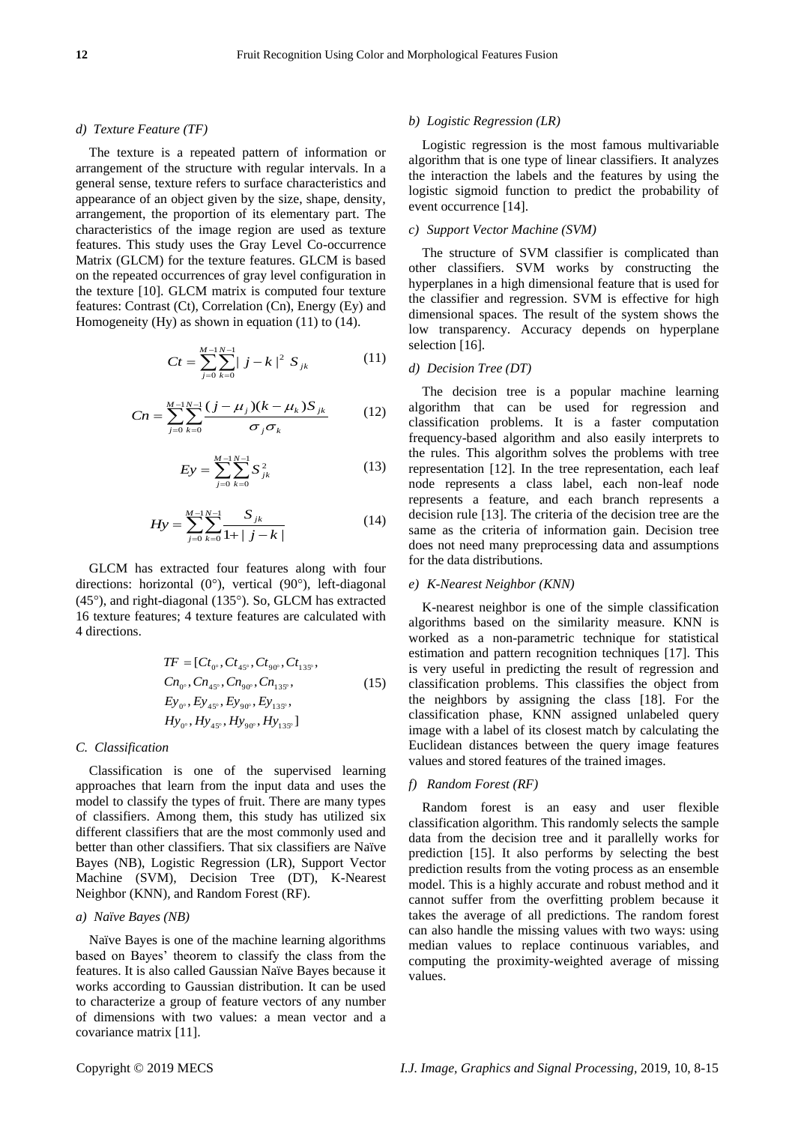## *d) Texture Feature (TF)*

The texture is a repeated pattern of information or arrangement of the structure with regular intervals. In a general sense, texture refers to surface characteristics and appearance of an object given by the size, shape, density, arrangement, the proportion of its elementary part. The characteristics of the image region are used as texture features. This study uses the Gray Level Co-occurrence Matrix (GLCM) for the texture features. GLCM is based on the repeated occurrences of gray level configuration in the texture [10]. GLCM matrix is computed four texture features: Contrast (Ct), Correlation (Cn), Energy (Ey) and Homogeneity (Hy) as shown in equation (11) to (14).

$$
Ct = \sum_{j=0}^{M-1} \sum_{k=0}^{N-1} |j - k|^2 S_{jk}
$$
 (11)

$$
Cn = \sum_{j=0}^{M-1} \sum_{k=0}^{N-1} \frac{(j - \mu_j)(k - \mu_k)S_{jk}}{\sigma_j \sigma_k}
$$
(12)

$$
E y = \sum_{j=0}^{M-1} \sum_{k=0}^{N-1} S_{jk}^2
$$
 (13)

$$
Hy = \sum_{j=0}^{M-1} \sum_{k=0}^{N-1} \frac{S_{jk}}{1 + |j - k|} \tag{14}
$$

GLCM has extracted four features along with four directions: horizontal  $(0^{\circ})$ , vertical  $(90^{\circ})$ , left-diagonal  $(45^{\circ})$ , and right-diagonal  $(135^{\circ})$ . So, GLCM has extracted 16 texture features; 4 texture features are calculated with 4 directions.

$$
TF = [C t_{0}^{\circ}, C t_{45^{\circ}}, C t_{90^{\circ}}, C t_{135^{\circ}},
$$
  
\n
$$
C n_{0}^{\circ}, C n_{45^{\circ}}, C n_{90^{\circ}}, C n_{135^{\circ}},
$$
  
\n
$$
E y_{0}^{\circ}, E y_{45^{\circ}}, E y_{90^{\circ}}, E y_{135^{\circ}},
$$
  
\n
$$
H y_{0}^{\circ}, H y_{45^{\circ}}, H y_{90^{\circ}}, H y_{135^{\circ}}]
$$
\n(15)

#### *C. Classification*

Classification is one of the supervised learning approaches that learn from the input data and uses the model to classify the types of fruit. There are many types of classifiers. Among them, this study has utilized six different classifiers that are the most commonly used and better than other classifiers. That six classifiers are Na  $\ddot{v}$ e Bayes (NB), Logistic Regression (LR), Support Vector Machine (SVM), Decision Tree (DT), K-Nearest Neighbor (KNN), and Random Forest (RF).

## *a) Naïve Bayes (NB)*

Naïve Bayes is one of the machine learning algorithms based on Bayes' theorem to classify the class from the features. It is also called Gaussian Naïve Bayes because it works according to Gaussian distribution. It can be used to characterize a group of feature vectors of any number of dimensions with two values: a mean vector and a covariance matrix [11].

## *b) Logistic Regression (LR)*

Logistic regression is the most famous multivariable algorithm that is one type of linear classifiers. It analyzes the interaction the labels and the features by using the logistic sigmoid function to predict the probability of event occurrence [14].

## *c) Support Vector Machine (SVM)*

The structure of SVM classifier is complicated than other classifiers. SVM works by constructing the hyperplanes in a high dimensional feature that is used for the classifier and regression. SVM is effective for high dimensional spaces. The result of the system shows the low transparency. Accuracy depends on hyperplane selection [16].

#### *d) Decision Tree (DT)*

The decision tree is a popular machine learning algorithm that can be used for regression and classification problems. It is a faster computation frequency-based algorithm and also easily interprets to the rules. This algorithm solves the problems with tree representation [12]. In the tree representation, each leaf node represents a class label, each non-leaf node represents a feature, and each branch represents a decision rule [13]. The criteria of the decision tree are the same as the criteria of information gain. Decision tree does not need many preprocessing data and assumptions for the data distributions.

## *e) K-Nearest Neighbor (KNN)*

K-nearest neighbor is one of the simple classification algorithms based on the similarity measure. KNN is worked as a non-parametric technique for statistical estimation and pattern recognition techniques [17]. This is very useful in predicting the result of regression and classification problems. This classifies the object from the neighbors by assigning the class [18]. For the classification phase, KNN assigned unlabeled query image with a label of its closest match by calculating the Euclidean distances between the query image features values and stored features of the trained images.

## *f) Random Forest (RF)*

Random forest is an easy and user flexible classification algorithm. This randomly selects the sample data from the decision tree and it parallelly works for prediction [15]. It also performs by selecting the best prediction results from the voting process as an ensemble model. This is a highly accurate and robust method and it cannot suffer from the overfitting problem because it takes the average of all predictions. The random forest can also handle the missing values with two ways: using median values to replace continuous variables, and computing the proximity-weighted average of missing values.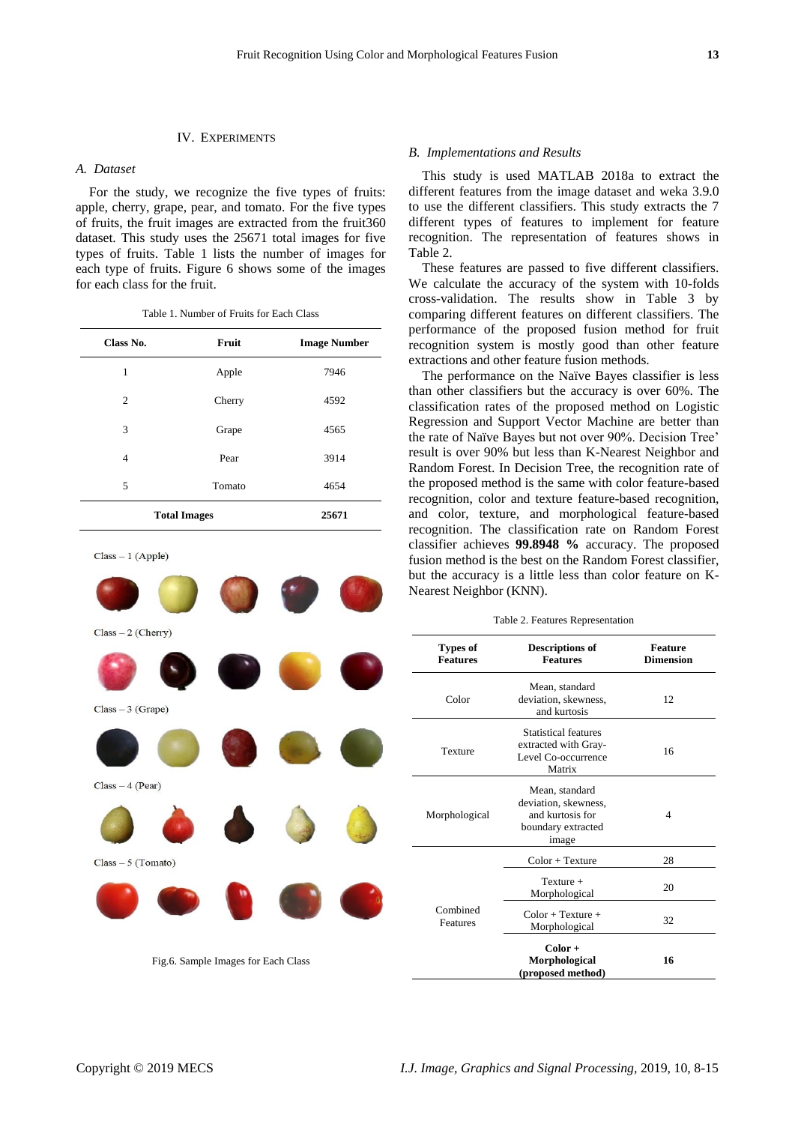## IV. EXPERIMENTS

## *A. Dataset*

For the study, we recognize the five types of fruits: apple, cherry, grape, pear, and tomato. For the five types of fruits, the fruit images are extracted from the fruit360 dataset. This study uses the 25671 total images for five types of fruits. Table 1 lists the number of images for each type of fruits. Figure 6 shows some of the images for each class for the fruit.

Table 1. Number of Fruits for Each Class

| Class No.           | Fruit  | <b>Image Number</b> |
|---------------------|--------|---------------------|
| 1                   | Apple  | 7946                |
| 2                   | Cherry | 4592                |
| 3                   | Grape  | 4565                |
| 4                   | Pear   | 3914                |
| 5                   | Tomato | 4654                |
| <b>Total Images</b> | 25671  |                     |

 $Class - 1 (Apple)$ 



Fig.6. Sample Images for Each Class

## *B. Implementations and Results*

This study is used MATLAB 2018a to extract the different features from the image dataset and weka 3.9.0 to use the different classifiers. This study extracts the 7 different types of features to implement for feature recognition. The representation of features shows in Table 2.

These features are passed to five different classifiers. We calculate the accuracy of the system with 10-folds cross-validation. The results show in Table 3 by comparing different features on different classifiers. The performance of the proposed fusion method for fruit recognition system is mostly good than other feature extractions and other feature fusion methods.

The performance on the Na  $\ddot{\text{v}}$ e Bayes classifier is less than other classifiers but the accuracy is over 60%. The classification rates of the proposed method on Logistic Regression and Support Vector Machine are better than the rate of Na we Bayes but not over 90%. Decision Tree' result is over 90% but less than K-Nearest Neighbor and Random Forest. In Decision Tree, the recognition rate of the proposed method is the same with color feature-based recognition, color and texture feature-based recognition, and color, texture, and morphological feature-based recognition. The classification rate on Random Forest classifier achieves **99.8948 %** accuracy. The proposed fusion method is the best on the Random Forest classifier, but the accuracy is a little less than color feature on K-Nearest Neighbor (KNN).

Table 2. Features Representation

| <b>Types of</b><br><b>Features</b> | <b>Descriptions of</b><br><b>Features</b>                                                 | <b>Feature</b><br><b>Dimension</b> |
|------------------------------------|-------------------------------------------------------------------------------------------|------------------------------------|
| Color                              | Mean, standard<br>deviation, skewness,<br>and kurtosis                                    | 12                                 |
| Texture                            | <b>Statistical features</b><br>extracted with Gray-<br>Level Co-occurrence<br>Matrix      | 16                                 |
| Morphological                      | Mean, standard<br>deviation, skewness,<br>and kurtosis for<br>boundary extracted<br>image | 4                                  |
|                                    | $Color + Texture$                                                                         | 28                                 |
| Combined<br>Features               | $Texture +$<br>Morphological                                                              | 20                                 |
|                                    | $Color + Texture +$<br>Morphological                                                      | 32                                 |
|                                    | $Color +$<br>Morphological<br>(proposed method)                                           | 16                                 |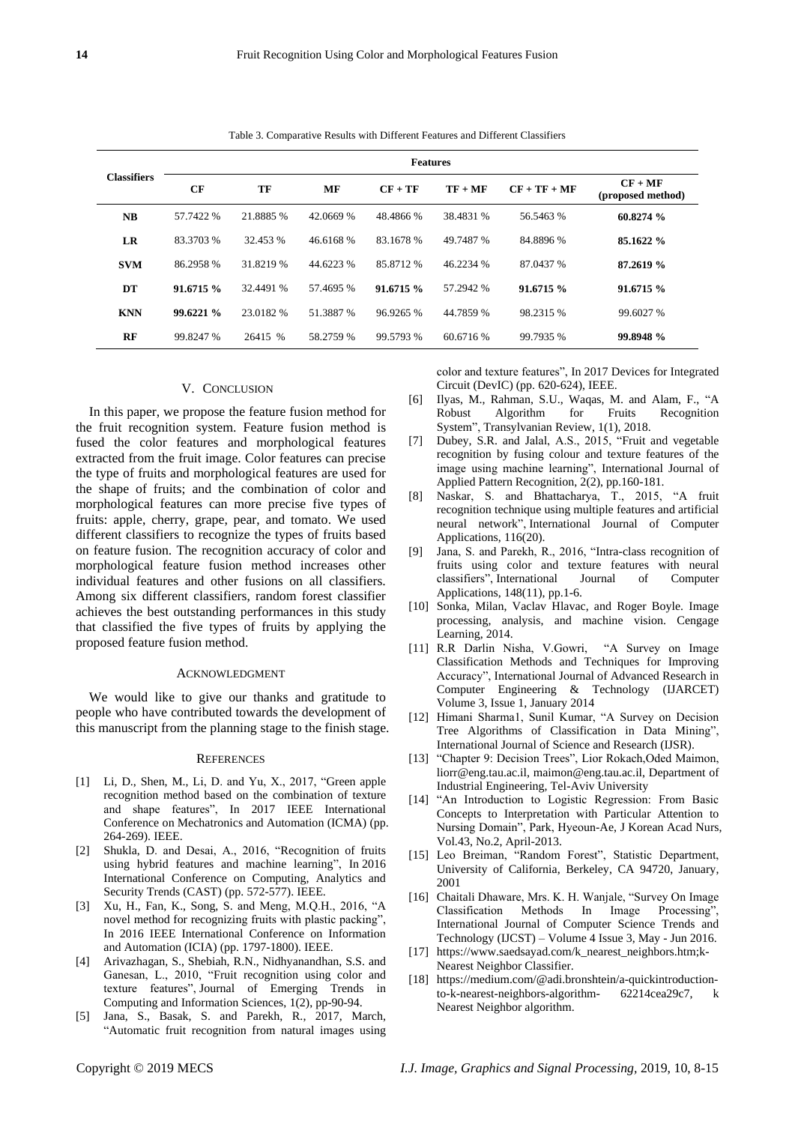| <b>Classifiers</b> | <b>Features</b> |           |           |           |           |                |                                |
|--------------------|-----------------|-----------|-----------|-----------|-----------|----------------|--------------------------------|
|                    | CF              | TF        | МF        | $CF + TF$ | $TF + MF$ | $CF + TF + MF$ | $CF + MF$<br>(proposed method) |
| NB                 | 57.7422 %       | 21.8885 % | 42.0669 % | 48.4866 % | 38.4831 % | 56.5463 %      | 60.8274 %                      |
| LR                 | 83.3703 %       | 32.453 %  | 46.6168 % | 83.1678 % | 49.7487 % | 84.8896 %      | 85.1622 %                      |
| <b>SVM</b>         | 86.2958 %       | 31.8219 % | 44.6223 % | 85.8712 % | 46.2234 % | 87.0437 %      | 87.2619 %                      |
| DT                 | 91.6715%        | 32.4491 % | 57.4695 % | 91.6715%  | 57.2942 % | 91.6715%       | 91.6715 %                      |
| <b>KNN</b>         | 99.6221%        | 23.0182 % | 51.3887 % | 96.9265 % | 44.7859 % | 98.2315 %      | 99.6027 %                      |
| RF                 | 99.8247 %       | 26415 %   | 58.2759 % | 99.5793 % | 60.6716 % | 99.7935 %      | 99.8948 %                      |

Table 3. Comparative Results with Different Features and Different Classifiers

## V. CONCLUSION

In this paper, we propose the feature fusion method for the fruit recognition system. Feature fusion method is fused the color features and morphological features extracted from the fruit image. Color features can precise the type of fruits and morphological features are used for the shape of fruits; and the combination of color and morphological features can more precise five types of fruits: apple, cherry, grape, pear, and tomato. We used different classifiers to recognize the types of fruits based on feature fusion. The recognition accuracy of color and morphological feature fusion method increases other individual features and other fusions on all classifiers. Among six different classifiers, random forest classifier achieves the best outstanding performances in this study that classified the five types of fruits by applying the proposed feature fusion method.

#### ACKNOWLEDGMENT

We would like to give our thanks and gratitude to people who have contributed towards the development of this manuscript from the planning stage to the finish stage.

#### **REFERENCES**

- [1] Li, D., Shen, M., Li, D. and Yu, X., 2017, "Green apple recognition method based on the combination of texture and shape features", In 2017 IEEE International Conference on Mechatronics and Automation (ICMA) (pp. 264-269). IEEE.
- [2] Shukla, D. and Desai, A., 2016, "Recognition of fruits using hybrid features and machine learning", In 2016 International Conference on Computing, Analytics and Security Trends (CAST) (pp. 572-577). IEEE.
- [3] Xu, H., Fan, K., Song, S. and Meng, M.Q.H., 2016, "A novel method for recognizing fruits with plastic packing", In 2016 IEEE International Conference on Information and Automation (ICIA) (pp. 1797-1800). IEEE.
- [4] Arivazhagan, S., Shebiah, R.N., Nidhyanandhan, S.S. and Ganesan, L., 2010, "Fruit recognition using color and texture features", Journal of Emerging Trends Computing and Information Sciences, 1(2), pp-90-94.
- [5] Jana, S., Basak, S. and Parekh, R., 2017, March, "Automatic fruit recognition from natural images using

color and texture features", In 2017 Devices for Integrated Circuit (DevIC) (pp. 620-624), IEEE.

- [6] Ilyas, M., Rahman, S.U., Waqas, M. and Alam, F., "A Robust Algorithm for Fruits Recognition System", Transylvanian Review, 1(1), 2018.
- [7] Dubey, S.R. and Jalal, A.S., 2015, "Fruit and vegetable recognition by fusing colour and texture features of the image using machine learning", International Journal of Applied Pattern Recognition, 2(2), pp.160-181.
- [8] Naskar, S. and Bhattacharya, T., 2015, "A fruit recognition technique using multiple features and artificial neural network", International Journal of Computer Applications, 116(20).
- [9] Jana, S. and Parekh, R., 2016, "Intra-class recognition of fruits using color and texture features with neural classifiers", International Journal of Computer Applications, 148(11), pp.1-6.
- [10] Sonka, Milan, Vaclav Hlavac, and Roger Boyle. Image processing, analysis, and machine vision. Cengage Learning, 2014.
- [11] R.R Darlin Nisha, V.Gowri, "A Survey on Image Classification Methods and Techniques for Improving Accuracy", International Journal of Advanced Research in Computer Engineering & Technology (IJARCET) Volume 3, Issue 1, January 2014
- [12] Himani Sharma1, Sunil Kumar, "A Survey on Decision Tree Algorithms of Classification in Data Mining", International Journal of Science and Research (IJSR).
- [13] "Chapter 9: Decision Trees", Lior Rokach, Oded Maimon, liorr@eng.tau.ac.il, [maimon@eng.tau.ac.il,](mailto:maimon@eng.tau.ac.il) Department of Industrial Engineering, Tel-Aviv University
- [14] "An Introduction to Logistic Regression: From Basic Concepts to Interpretation with Particular Attention to Nursing Domain", Park, Hyeoun-Ae, J Korean Acad Nurs, Vol.43, No.2, April-2013.
- [15] Leo Breiman, "Random Forest", Statistic Department, University of California, Berkeley, CA 94720, January, 2001
- [16] Chaitali Dhaware, Mrs. K. H. Wanjale, "Survey On Image Classification Methods In Image Processing", International Journal of Computer Science Trends and Technology (IJCST) – Volume 4 Issue 3, May - Jun 2016.
- [17] https://www.saedsayad.com/k\_nearest\_neighbors.htm;k-Nearest Neighbor Classifier.
- [18] [https://medium.com/@adi.bronshtein/a-quickintroduction](https://medium.com/@adi.bronshtein/a-quickintroduction-to-k-nearest-neighbors-algorithm-)[to-k-nearest-neighbors-algorithm-](https://medium.com/@adi.bronshtein/a-quickintroduction-to-k-nearest-neighbors-algorithm-) 62214cea29c7, k Nearest Neighbor algorithm.